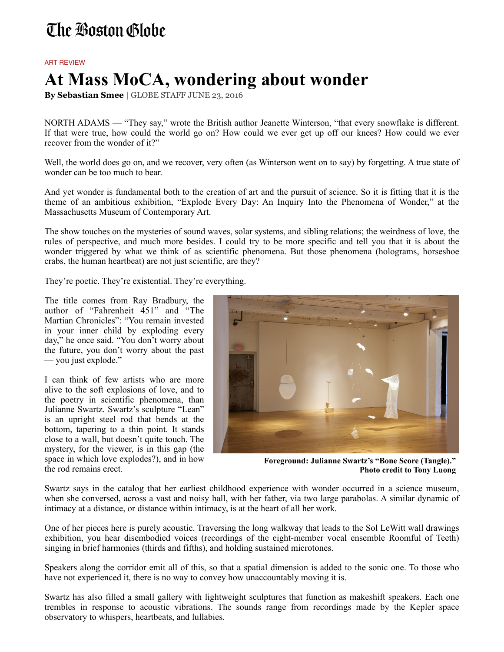## The Boston Globe

## ART REVIEW

## **At Mass MoCA, wondering about wonder**

**By Sebastian Smee** | GLOBE STAFF JUNE 23, 2016

NORTH ADAMS — "They say," wrote the British author Jeanette Winterson, "that every snowflake is different. If that were true, how could the world go on? How could we ever get up off our knees? How could we ever recover from the wonder of it?"

Well, the world does go on, and we recover, very often (as Winterson went on to say) by forgetting. A true state of wonder can be too much to bear.

And yet wonder is fundamental both to the creation of art and the pursuit of science. So it is fitting that it is the theme of an ambitious exhibition, "Explode Every Day: An Inquiry Into the Phenomena of Wonder," at the Massachusetts Museum of Contemporary Art.

The show touches on the mysteries of sound waves, solar systems, and sibling relations; the weirdness of love, the rules of perspective, and much more besides. I could try to be more specific and tell you that it is about the wonder triggered by what we think of as scientific phenomena. But those phenomena (holograms, horseshoe crabs, the human heartbeat) are not just scientific, are they?

They're poetic. They're existential. They're everything.

The title comes from Ray Bradbury, the author of "Fahrenheit 451" and "The Martian Chronicles": "You remain invested in your inner child by exploding every day," he once said. "You don't worry about the future, you don't worry about the past — you just explode."

I can think of few artists who are more alive to the soft explosions of love, and to the poetry in scientific phenomena, than Julianne Swartz. Swartz's sculpture "Lean" is an upright steel rod that bends at the bottom, tapering to a thin point. It stands close to a wall, but doesn't quite touch. The mystery, for the viewer, is in this gap (the space in which love explodes?), and in how the rod remains erect.



**Foreground: Julianne Swartz's "Bone Score (Tangle)." Photo credit to Tony Luong**

Swartz says in the catalog that her earliest childhood experience with wonder occurred in a science museum, when she conversed, across a vast and noisy hall, with her father, via two large parabolas. A similar dynamic of intimacy at a distance, or distance within intimacy, is at the heart of all her work.

One of her pieces here is purely acoustic. Traversing the long walkway that leads to the Sol LeWitt wall drawings exhibition, you hear disembodied voices (recordings of the eight-member vocal ensemble Roomful of Teeth) singing in brief harmonies (thirds and fifths), and holding sustained microtones.

Speakers along the corridor emit all of this, so that a spatial dimension is added to the sonic one. To those who have not experienced it, there is no way to convey how unaccountably moving it is.

Swartz has also filled a small gallery with lightweight sculptures that function as makeshift speakers. Each one trembles in response to acoustic vibrations. The sounds range from recordings made by the Kepler space observatory to whispers, heartbeats, and lullabies.